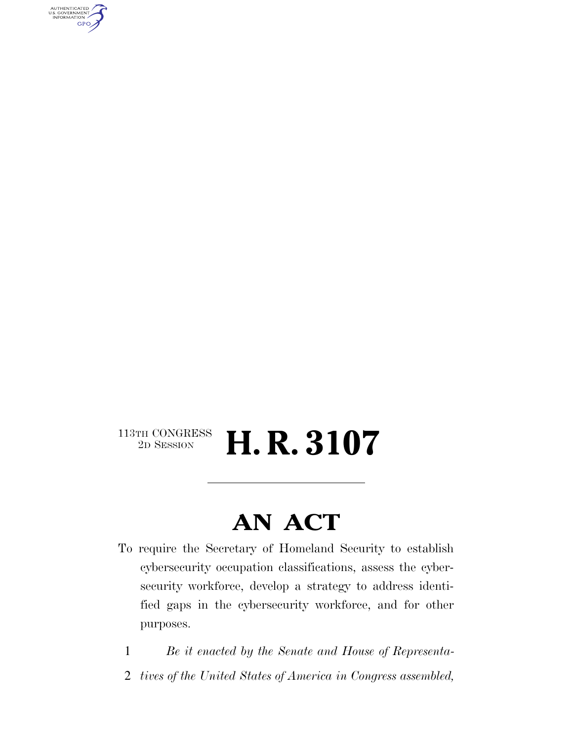AUTHENTICATED<br>U.S. GOVERNMENT<br>INFORMATION **GPO** 

### $\begin{array}{c} \textbf{113TH CONGRESS} \\ \textbf{2D SESION} \end{array}$ 2D SESSION **H. R. 3107**

## **AN ACT**

- To require the Secretary of Homeland Security to establish cybersecurity occupation classifications, assess the cybersecurity workforce, develop a strategy to address identified gaps in the cybersecurity workforce, and for other purposes.
	- 1 *Be it enacted by the Senate and House of Representa-*
	- 2 *tives of the United States of America in Congress assembled,*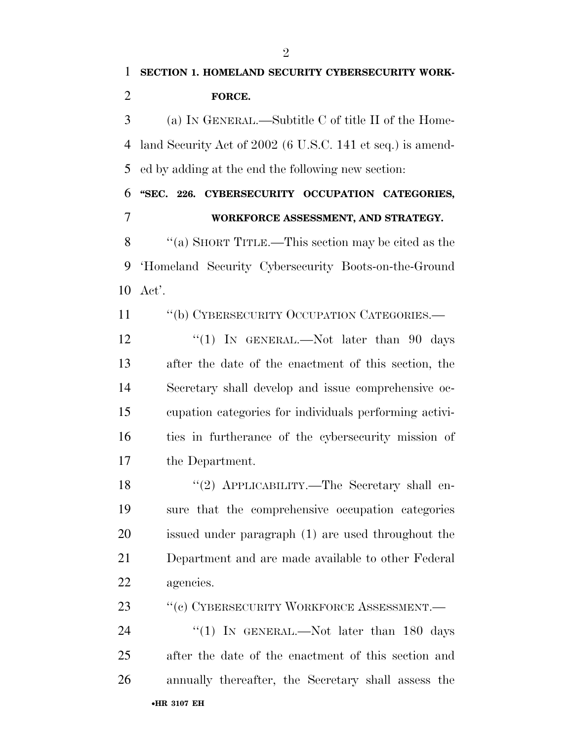**SECTION 1. HOMELAND SECURITY CYBERSECURITY WORK- FORCE.**  (a) IN GENERAL.—Subtitle C of title II of the Home- land Security Act of 2002 (6 U.S.C. 141 et seq.) is amend- ed by adding at the end the following new section: **''SEC. 226. CYBERSECURITY OCCUPATION CATEGORIES, WORKFORCE ASSESSMENT, AND STRATEGY.**  ''(a) SHORT TITLE.—This section may be cited as the 'Homeland Security Cybersecurity Boots-on-the-Ground Act'. 11 "(b) CYBERSECURITY OCCUPATION CATEGORIES.— 12 "(1) In GENERAL.—Not later than 90 days after the date of the enactment of this section, the Secretary shall develop and issue comprehensive oc- cupation categories for individuals performing activi- ties in furtherance of the cybersecurity mission of the Department. ''(2) APPLICABILITY.—The Secretary shall en- sure that the comprehensive occupation categories issued under paragraph (1) are used throughout the Department and are made available to other Federal agencies. 23 "(c) CYBERSECURITY WORKFORCE ASSESSMENT.

•**HR 3107 EH** 24 "(1) In GENERAL.—Not later than 180 days after the date of the enactment of this section and annually thereafter, the Secretary shall assess the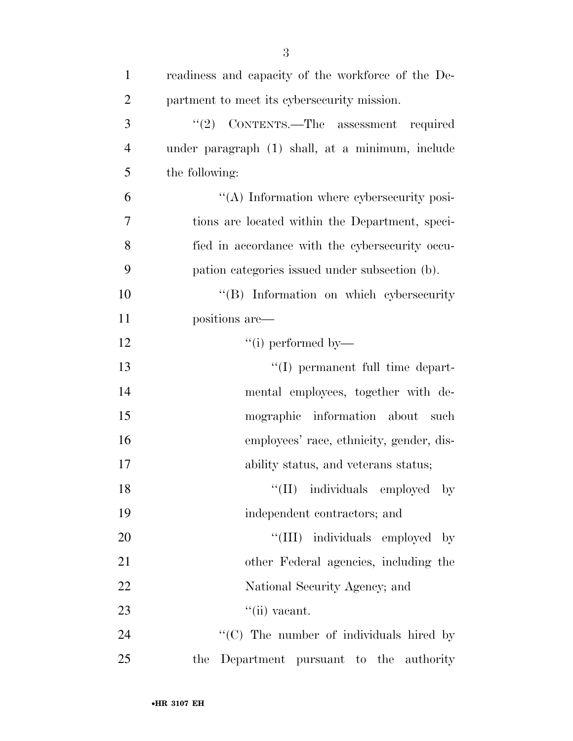| $\mathbf{1}$   | readiness and capacity of the workforce of the De- |
|----------------|----------------------------------------------------|
| $\overline{2}$ | partment to meet its cybersecurity mission.        |
| 3              | CONTENTS.—The assessment required<br>(2)           |
| $\overline{4}$ | under paragraph (1) shall, at a minimum, include   |
| 5              | the following:                                     |
| 6              | "(A) Information where cybersecurity posi-         |
| 7              | tions are located within the Department, speci-    |
| 8              | fied in accordance with the cybersecurity occu-    |
| 9              | pation categories issued under subsection (b).     |
| 10             | "(B) Information on which cybersecurity            |
| 11             | positions are—                                     |
| 12             | $``(i)$ performed by—                              |
| 13             | "(I) permanent full time depart-                   |
| 14             | mental employees, together with de-                |
| 15             | mographic information about<br>– such              |
| 16             | employees' race, ethnicity, gender, dis-           |
| 17             | ability status, and veterans status;               |
| 18             | "(II) individuals employed by                      |
| 19             | independent contractors; and                       |
| 20             | "(III) individuals employed by                     |
| 21             | other Federal agencies, including the              |
| 22             | National Security Agency; and                      |
| 23             | $``$ (ii) vacant.                                  |
| 24             | "(C) The number of individuals hired by            |
| 25             | the<br>Department pursuant to the authority        |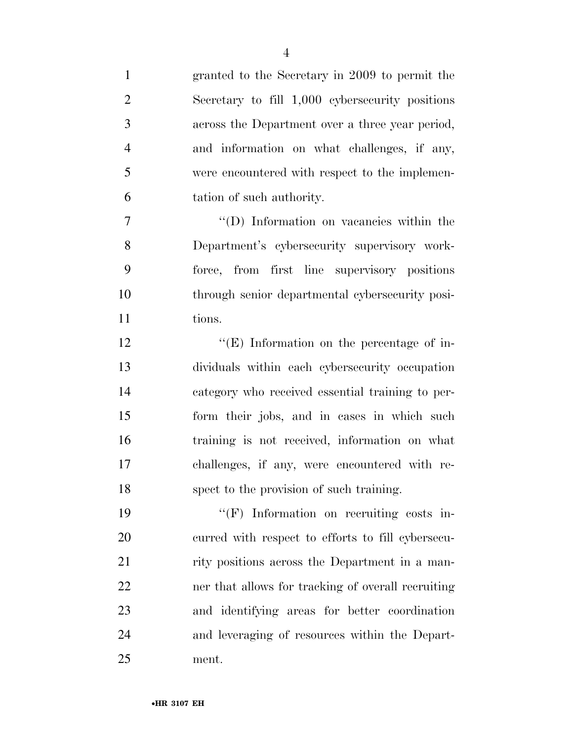| $\mathbf{1}$   | granted to the Secretary in 2009 to permit the     |
|----------------|----------------------------------------------------|
| $\overline{2}$ | Secretary to fill 1,000 cybers ecurity positions   |
| 3              | across the Department over a three year period,    |
| $\overline{4}$ | and information on what challenges, if any,        |
| 5              | were encountered with respect to the implemen-     |
| 6              | tation of such authority.                          |
| 7              | "(D) Information on vacancies within the           |
| 8              | Department's cybersecurity supervisory work-       |
| 9              | force, from first line supervisory positions       |
| 10             | through senior departmental cybersecurity posi-    |
| 11             | tions.                                             |
| 12             | $\lq\lq(E)$ Information on the percentage of in-   |
| 13             | dividuals within each cybersecurity occupation     |
| 14             | category who received essential training to per-   |
| 15             | form their jobs, and in cases in which such        |
| 16             | training is not received, information on what      |
| 17             | challenges, if any, were encountered with re-      |
| 18             | spect to the provision of such training.           |
| 19             | $\lq\lq(F)$ Information on recruiting costs in-    |
| 20             | curred with respect to efforts to fill cybersecu-  |
| 21             | rity positions across the Department in a man-     |
| 22             | ner that allows for tracking of overall recruiting |
| 23             | and identifying areas for better coordination      |
| 24             | and leveraging of resources within the Depart-     |
| 25             | ment.                                              |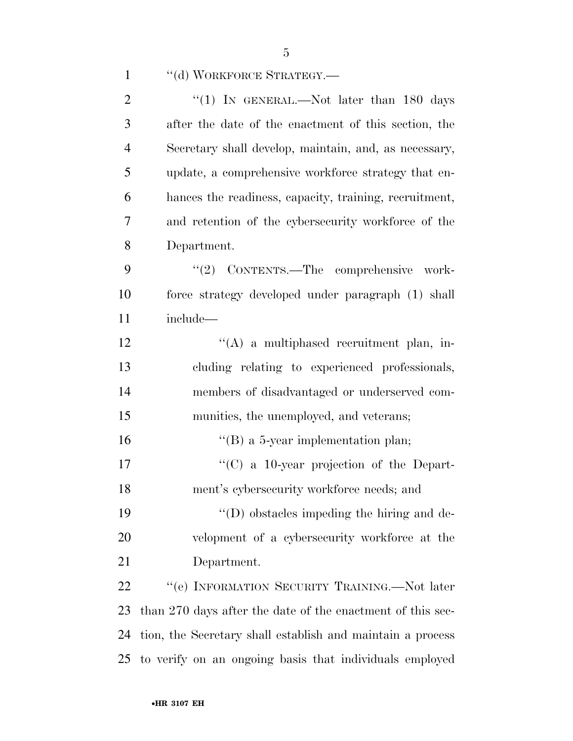| $\mathbf{1}$   | "(d) WORKFORCE STRATEGY.-                                  |
|----------------|------------------------------------------------------------|
| $\overline{2}$ | "(1) IN GENERAL.—Not later than $180$ days                 |
| 3              | after the date of the enactment of this section, the       |
| $\overline{4}$ | Secretary shall develop, maintain, and, as necessary,      |
| 5              | update, a comprehensive workforce strategy that en-        |
| 6              | hances the readiness, capacity, training, recruitment,     |
| $\tau$         | and retention of the cybersecurity workforce of the        |
| 8              | Department.                                                |
| 9              | CONTENTS.-The comprehensive work-<br>(2)                   |
| 10             | force strategy developed under paragraph (1) shall         |
| 11             | include—                                                   |
| 12             | $\lq\lq$ a multiphased recruitment plan, in-               |
| 13             | cluding relating to experienced professionals,             |
| 14             | members of disadvantaged or underserved com-               |
| 15             | munities, the unemployed, and veterans;                    |
| 16             | $\lq\lq$ (B) a 5-year implementation plan;                 |
| 17             | $\cdot$ (C) a 10-year projection of the Depart-            |
| 18             | ment's cybersecurity workforce needs; and                  |
| 19             | $\lq\lq$ (D) obstacles impeding the hiring and de-         |
| 20             | velopment of a cybersecurity workforce at the              |
| 21             | Department.                                                |
| 22             | "(e) INFORMATION SECURITY TRAINING.—Not later              |
| 23             | than 270 days after the date of the enactment of this sec- |
| 24             | tion, the Secretary shall establish and maintain a process |
| 25             | to verify on an ongoing basis that individuals employed    |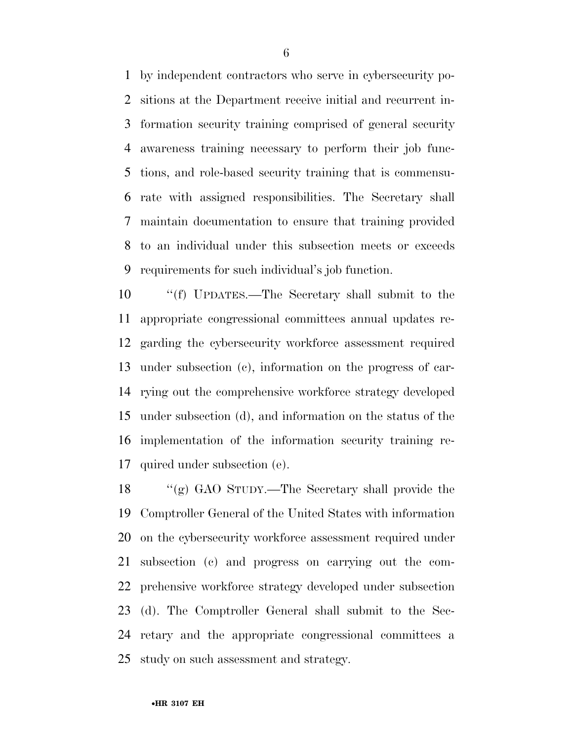by independent contractors who serve in cybersecurity po- sitions at the Department receive initial and recurrent in- formation security training comprised of general security awareness training necessary to perform their job func- tions, and role-based security training that is commensu- rate with assigned responsibilities. The Secretary shall maintain documentation to ensure that training provided to an individual under this subsection meets or exceeds requirements for such individual's job function.

 ''(f) UPDATES.—The Secretary shall submit to the appropriate congressional committees annual updates re- garding the cybersecurity workforce assessment required under subsection (c), information on the progress of car- rying out the comprehensive workforce strategy developed under subsection (d), and information on the status of the implementation of the information security training re-quired under subsection (e).

 ''(g) GAO STUDY.—The Secretary shall provide the Comptroller General of the United States with information on the cybersecurity workforce assessment required under subsection (c) and progress on carrying out the com- prehensive workforce strategy developed under subsection (d). The Comptroller General shall submit to the Sec- retary and the appropriate congressional committees a study on such assessment and strategy.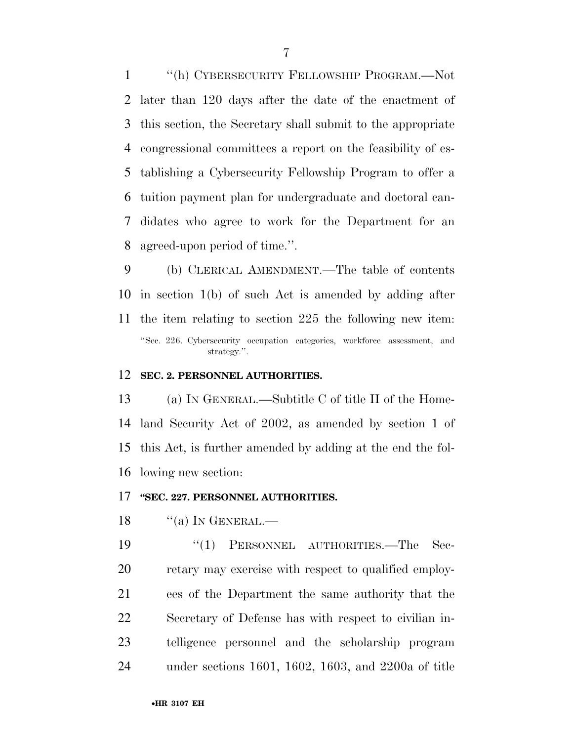''(h) CYBERSECURITY FELLOWSHIP PROGRAM.—Not later than 120 days after the date of the enactment of this section, the Secretary shall submit to the appropriate congressional committees a report on the feasibility of es- tablishing a Cybersecurity Fellowship Program to offer a tuition payment plan for undergraduate and doctoral can- didates who agree to work for the Department for an agreed-upon period of time.''.

 (b) CLERICAL AMENDMENT.—The table of contents in section 1(b) of such Act is amended by adding after the item relating to section 225 the following new item: ''Sec. 226. Cybersecurity occupation categories, workforce assessment, and strategy.''.

#### **SEC. 2. PERSONNEL AUTHORITIES.**

 (a) IN GENERAL.—Subtitle C of title II of the Home- land Security Act of 2002, as amended by section 1 of this Act, is further amended by adding at the end the fol-lowing new section:

#### **''SEC. 227. PERSONNEL AUTHORITIES.**

"(a) In GENERAL.—

 ''(1) PERSONNEL AUTHORITIES.—The Sec- retary may exercise with respect to qualified employ- ees of the Department the same authority that the Secretary of Defense has with respect to civilian in- telligence personnel and the scholarship program under sections 1601, 1602, 1603, and 2200a of title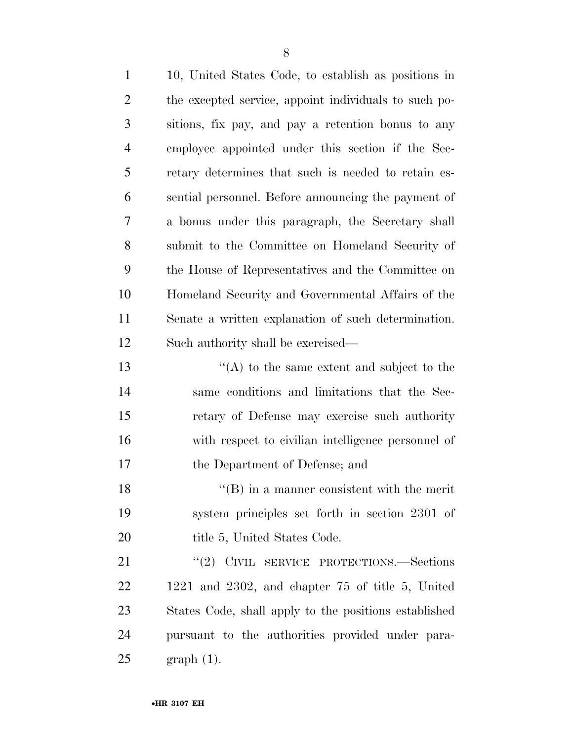| $\mathbf{1}$   | 10, United States Code, to establish as positions in  |
|----------------|-------------------------------------------------------|
| $\overline{2}$ | the excepted service, appoint individuals to such po- |
| 3              | sitions, fix pay, and pay a retention bonus to any    |
| $\overline{4}$ | employee appointed under this section if the Sec-     |
| 5              | retary determines that such is needed to retain es-   |
| 6              | sential personnel. Before announcing the payment of   |
| 7              | a bonus under this paragraph, the Secretary shall     |
| 8              | submit to the Committee on Homeland Security of       |
| 9              | the House of Representatives and the Committee on     |
| 10             | Homeland Security and Governmental Affairs of the     |
| 11             | Senate a written explanation of such determination.   |
| 12             | Such authority shall be exercised—                    |
| 13             | $\lq\lq$ to the same extent and subject to the        |
| 14             | same conditions and limitations that the Sec-         |
| 15             | retary of Defense may exercise such authority         |
| 16             | with respect to civilian intelligence personnel of    |
| 17             | the Department of Defense; and                        |
| 18             | $\lq\lq$ (B) in a manner consistent with the merit    |
| 19             | system principles set forth in section 2301 of        |
| 20             | title 5, United States Code.                          |
| 21             | "(2) CIVIL SERVICE PROTECTIONS.—Sections              |
| 22             | $1221$ and $2302$ , and chapter 75 of title 5, United |
| 23             | States Code, shall apply to the positions established |
| 24             | pursuant to the authorities provided under para-      |
| 25             | $graph(1)$ .                                          |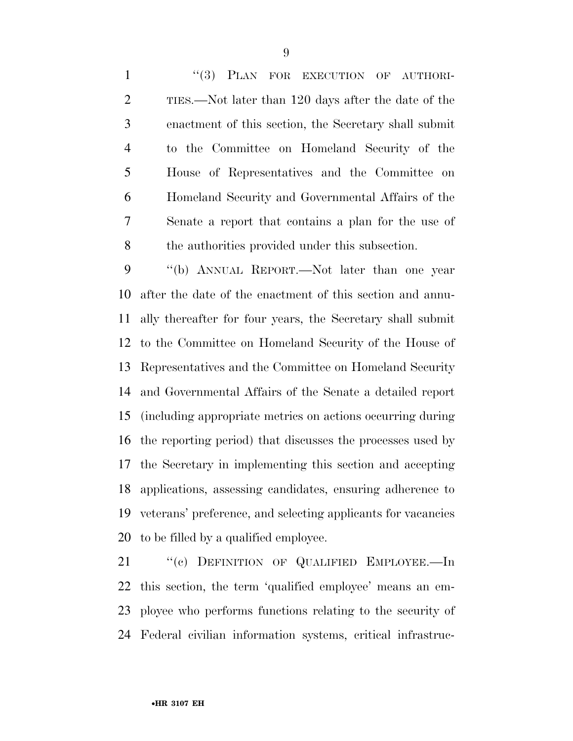1 "(3) PLAN FOR EXECUTION OF AUTHORI- TIES.—Not later than 120 days after the date of the enactment of this section, the Secretary shall submit to the Committee on Homeland Security of the House of Representatives and the Committee on Homeland Security and Governmental Affairs of the Senate a report that contains a plan for the use of the authorities provided under this subsection.

 ''(b) ANNUAL REPORT.—Not later than one year after the date of the enactment of this section and annu- ally thereafter for four years, the Secretary shall submit to the Committee on Homeland Security of the House of Representatives and the Committee on Homeland Security and Governmental Affairs of the Senate a detailed report (including appropriate metrics on actions occurring during the reporting period) that discusses the processes used by the Secretary in implementing this section and accepting applications, assessing candidates, ensuring adherence to veterans' preference, and selecting applicants for vacancies to be filled by a qualified employee.

 ''(c) DEFINITION OF QUALIFIED EMPLOYEE.—In this section, the term 'qualified employee' means an em- ployee who performs functions relating to the security of Federal civilian information systems, critical infrastruc-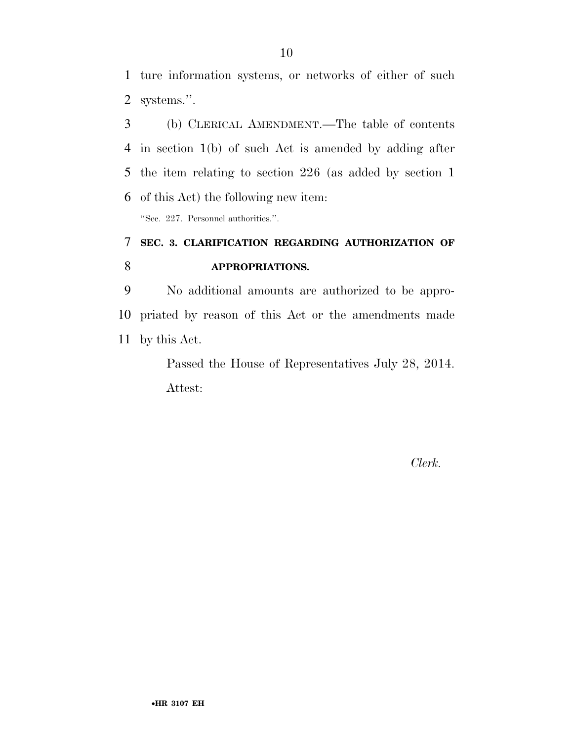ture information systems, or networks of either of such systems.''.

 (b) CLERICAL AMENDMENT.—The table of contents in section 1(b) of such Act is amended by adding after the item relating to section 226 (as added by section 1 of this Act) the following new item:

''Sec. 227. Personnel authorities.''.

### **SEC. 3. CLARIFICATION REGARDING AUTHORIZATION OF APPROPRIATIONS.**

 No additional amounts are authorized to be appro- priated by reason of this Act or the amendments made by this Act.

> Passed the House of Representatives July 28, 2014. Attest:

> > *Clerk.*